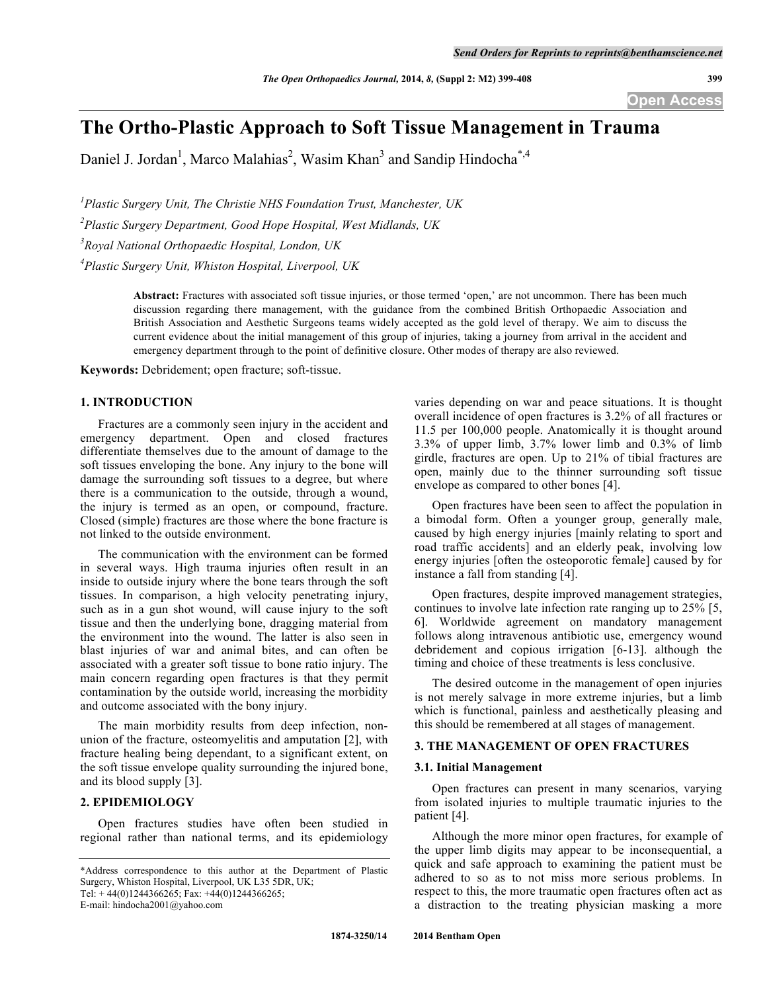**Open Access**

# **The Ortho-Plastic Approach to Soft Tissue Management in Trauma**

Daniel J. Jordan<sup>1</sup>, Marco Malahias<sup>2</sup>, Wasim Khan<sup>3</sup> and Sandip Hindocha<sup>\*,4</sup>

 *Plastic Surgery Unit, The Christie NHS Foundation Trust, Manchester, UK Plastic Surgery Department, Good Hope Hospital, West Midlands, UK Royal National Orthopaedic Hospital, London, UK Plastic Surgery Unit, Whiston Hospital, Liverpool, UK*

> **Abstract:** Fractures with associated soft tissue injuries, or those termed 'open,' are not uncommon. There has been much discussion regarding there management, with the guidance from the combined British Orthopaedic Association and British Association and Aesthetic Surgeons teams widely accepted as the gold level of therapy. We aim to discuss the current evidence about the initial management of this group of injuries, taking a journey from arrival in the accident and emergency department through to the point of definitive closure. Other modes of therapy are also reviewed.

**Keywords:** Debridement; open fracture; soft-tissue.

#### **1. INTRODUCTION**

Fractures are a commonly seen injury in the accident and emergency department. Open and closed fractures differentiate themselves due to the amount of damage to the soft tissues enveloping the bone. Any injury to the bone will damage the surrounding soft tissues to a degree, but where there is a communication to the outside, through a wound, the injury is termed as an open, or compound, fracture. Closed (simple) fractures are those where the bone fracture is not linked to the outside environment.

The communication with the environment can be formed in several ways. High trauma injuries often result in an inside to outside injury where the bone tears through the soft tissues. In comparison, a high velocity penetrating injury, such as in a gun shot wound, will cause injury to the soft tissue and then the underlying bone, dragging material from the environment into the wound. The latter is also seen in blast injuries of war and animal bites, and can often be associated with a greater soft tissue to bone ratio injury. The main concern regarding open fractures is that they permit contamination by the outside world, increasing the morbidity and outcome associated with the bony injury.

The main morbidity results from deep infection, nonunion of the fracture, osteomyelitis and amputation [2], with fracture healing being dependant, to a significant extent, on the soft tissue envelope quality surrounding the injured bone, and its blood supply [3].

# **2. EPIDEMIOLOGY**

Open fractures studies have often been studied in regional rather than national terms, and its epidemiology

E-mail: hindocha2001@yahoo.com

varies depending on war and peace situations. It is thought overall incidence of open fractures is 3.2% of all fractures or 11.5 per 100,000 people. Anatomically it is thought around 3.3% of upper limb, 3.7% lower limb and 0.3% of limb girdle, fractures are open. Up to 21% of tibial fractures are open, mainly due to the thinner surrounding soft tissue envelope as compared to other bones [4].

Open fractures have been seen to affect the population in a bimodal form. Often a younger group, generally male, caused by high energy injuries [mainly relating to sport and road traffic accidents] and an elderly peak, involving low energy injuries [often the osteoporotic female] caused by for instance a fall from standing [4].

Open fractures, despite improved management strategies, continues to involve late infection rate ranging up to 25% [5, 6]. Worldwide agreement on mandatory management follows along intravenous antibiotic use, emergency wound debridement and copious irrigation [6-13]. although the timing and choice of these treatments is less conclusive.

The desired outcome in the management of open injuries is not merely salvage in more extreme injuries, but a limb which is functional, painless and aesthetically pleasing and this should be remembered at all stages of management.

#### **3. THE MANAGEMENT OF OPEN FRACTURES**

#### **3.1. Initial Management**

Open fractures can present in many scenarios, varying from isolated injuries to multiple traumatic injuries to the patient [4].

Although the more minor open fractures, for example of the upper limb digits may appear to be inconsequential, a quick and safe approach to examining the patient must be adhered to so as to not miss more serious problems. In respect to this, the more traumatic open fractures often act as a distraction to the treating physician masking a more

<sup>\*</sup>Address correspondence to this author at the Department of Plastic Surgery, Whiston Hospital, Liverpool, UK L35 5DR, UK; Tel:  $+44(0)1244366265$ ; Fax:  $+44(0)1244366265$ ;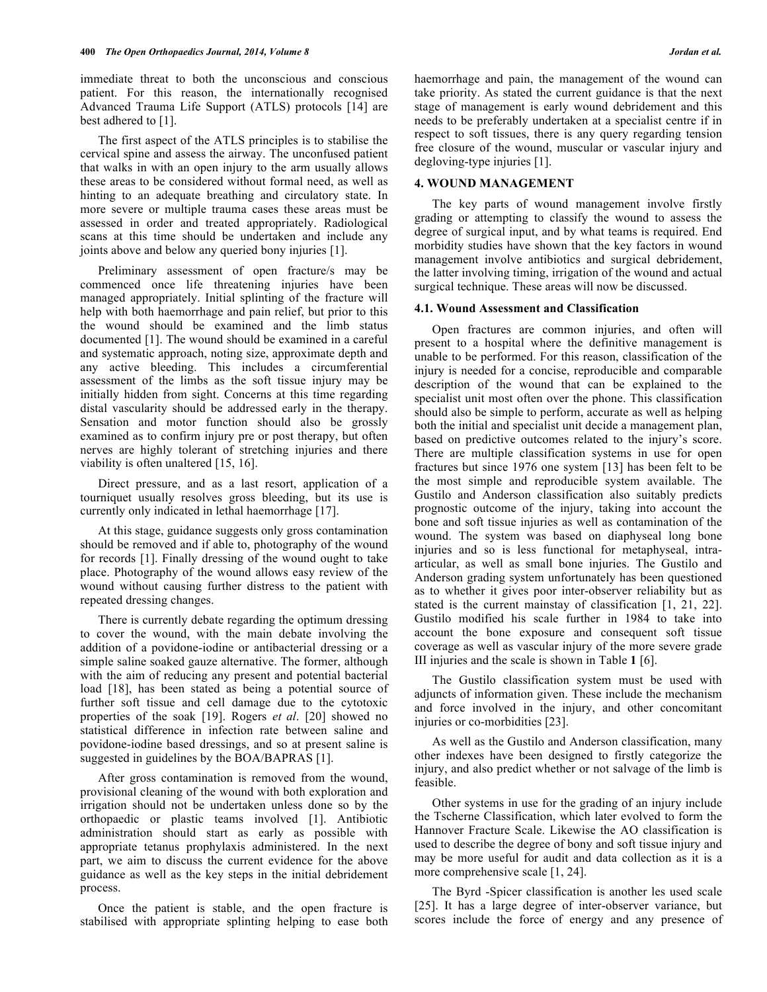immediate threat to both the unconscious and conscious patient. For this reason, the internationally recognised Advanced Trauma Life Support (ATLS) protocols [14] are best adhered to [1].

The first aspect of the ATLS principles is to stabilise the cervical spine and assess the airway. The unconfused patient that walks in with an open injury to the arm usually allows these areas to be considered without formal need, as well as hinting to an adequate breathing and circulatory state. In more severe or multiple trauma cases these areas must be assessed in order and treated appropriately. Radiological scans at this time should be undertaken and include any joints above and below any queried bony injuries [1].

Preliminary assessment of open fracture/s may be commenced once life threatening injuries have been managed appropriately. Initial splinting of the fracture will help with both haemorrhage and pain relief, but prior to this the wound should be examined and the limb status documented [1]. The wound should be examined in a careful and systematic approach, noting size, approximate depth and any active bleeding. This includes a circumferential assessment of the limbs as the soft tissue injury may be initially hidden from sight. Concerns at this time regarding distal vascularity should be addressed early in the therapy. Sensation and motor function should also be grossly examined as to confirm injury pre or post therapy, but often nerves are highly tolerant of stretching injuries and there viability is often unaltered [15, 16].

Direct pressure, and as a last resort, application of a tourniquet usually resolves gross bleeding, but its use is currently only indicated in lethal haemorrhage [17].

At this stage, guidance suggests only gross contamination should be removed and if able to, photography of the wound for records [1]. Finally dressing of the wound ought to take place. Photography of the wound allows easy review of the wound without causing further distress to the patient with repeated dressing changes.

There is currently debate regarding the optimum dressing to cover the wound, with the main debate involving the addition of a povidone-iodine or antibacterial dressing or a simple saline soaked gauze alternative. The former, although with the aim of reducing any present and potential bacterial load [18], has been stated as being a potential source of further soft tissue and cell damage due to the cytotoxic properties of the soak [19]. Rogers *et al*. [20] showed no statistical difference in infection rate between saline and povidone-iodine based dressings, and so at present saline is suggested in guidelines by the BOA/BAPRAS [1].

After gross contamination is removed from the wound, provisional cleaning of the wound with both exploration and irrigation should not be undertaken unless done so by the orthopaedic or plastic teams involved [1]. Antibiotic administration should start as early as possible with appropriate tetanus prophylaxis administered. In the next part, we aim to discuss the current evidence for the above guidance as well as the key steps in the initial debridement process.

Once the patient is stable, and the open fracture is stabilised with appropriate splinting helping to ease both

haemorrhage and pain, the management of the wound can take priority. As stated the current guidance is that the next stage of management is early wound debridement and this needs to be preferably undertaken at a specialist centre if in respect to soft tissues, there is any query regarding tension free closure of the wound, muscular or vascular injury and degloving-type injuries [1].

#### **4. WOUND MANAGEMENT**

The key parts of wound management involve firstly grading or attempting to classify the wound to assess the degree of surgical input, and by what teams is required. End morbidity studies have shown that the key factors in wound management involve antibiotics and surgical debridement, the latter involving timing, irrigation of the wound and actual surgical technique. These areas will now be discussed.

#### **4.1. Wound Assessment and Classification**

Open fractures are common injuries, and often will present to a hospital where the definitive management is unable to be performed. For this reason, classification of the injury is needed for a concise, reproducible and comparable description of the wound that can be explained to the specialist unit most often over the phone. This classification should also be simple to perform, accurate as well as helping both the initial and specialist unit decide a management plan, based on predictive outcomes related to the injury's score. There are multiple classification systems in use for open fractures but since 1976 one system [13] has been felt to be the most simple and reproducible system available. The Gustilo and Anderson classification also suitably predicts prognostic outcome of the injury, taking into account the bone and soft tissue injuries as well as contamination of the wound. The system was based on diaphyseal long bone injuries and so is less functional for metaphyseal, intraarticular, as well as small bone injuries. The Gustilo and Anderson grading system unfortunately has been questioned as to whether it gives poor inter-observer reliability but as stated is the current mainstay of classification [1, 21, 22]. Gustilo modified his scale further in 1984 to take into account the bone exposure and consequent soft tissue coverage as well as vascular injury of the more severe grade III injuries and the scale is shown in Table **1** [6].

The Gustilo classification system must be used with adjuncts of information given. These include the mechanism and force involved in the injury, and other concomitant injuries or co-morbidities [23].

As well as the Gustilo and Anderson classification, many other indexes have been designed to firstly categorize the injury, and also predict whether or not salvage of the limb is feasible.

Other systems in use for the grading of an injury include the Tscherne Classification, which later evolved to form the Hannover Fracture Scale. Likewise the AO classification is used to describe the degree of bony and soft tissue injury and may be more useful for audit and data collection as it is a more comprehensive scale [1, 24].

The Byrd -Spicer classification is another les used scale [25]. It has a large degree of inter-observer variance, but scores include the force of energy and any presence of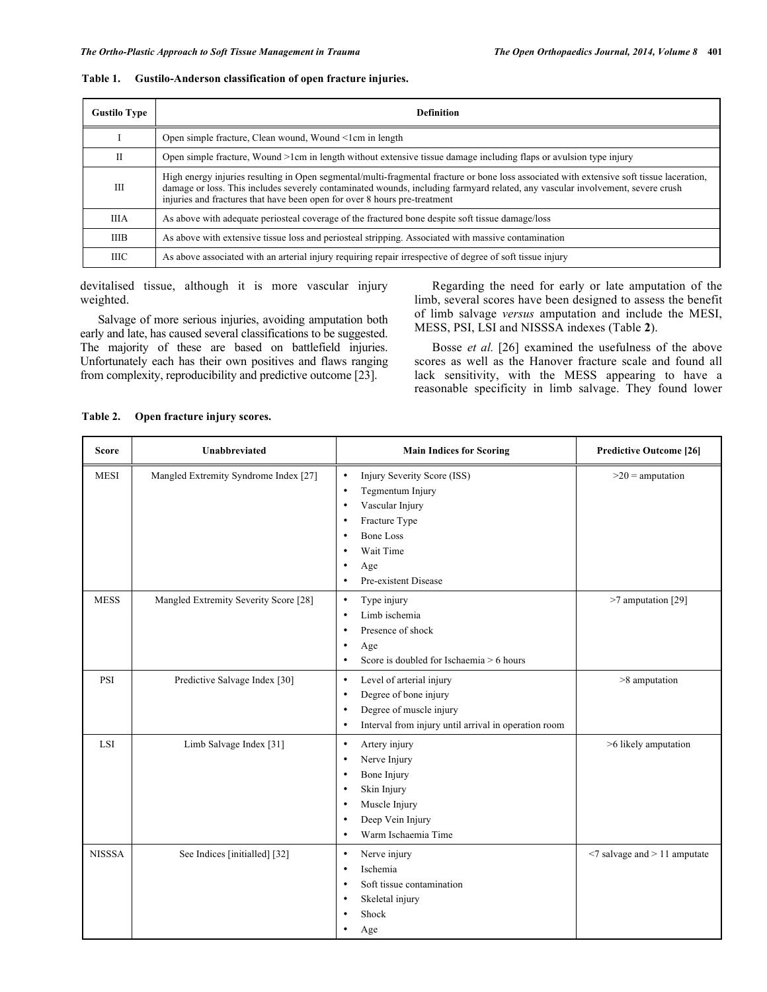#### **Table 1. Gustilo-Anderson classification of open fracture injuries.**

| <b>Gustilo Type</b> | <b>Definition</b>                                                                                                                                                                                                                                                                                                                                        |  |
|---------------------|----------------------------------------------------------------------------------------------------------------------------------------------------------------------------------------------------------------------------------------------------------------------------------------------------------------------------------------------------------|--|
|                     | Open simple fracture, Clean wound, Wound <1cm in length                                                                                                                                                                                                                                                                                                  |  |
| П                   | Open simple fracture, Wound >1cm in length without extensive tissue damage including flaps or avulsion type injury                                                                                                                                                                                                                                       |  |
| Ш                   | High energy injuries resulting in Open segmental/multi-fragmental fracture or bone loss associated with extensive soft tissue laceration,<br>damage or loss. This includes severely contaminated wounds, including farmyard related, any vascular involvement, severe crush<br>injuries and fractures that have been open for over 8 hours pre-treatment |  |
| ШA                  | As above with adequate periosteal coverage of the fractured bone despite soft tissue damage/loss                                                                                                                                                                                                                                                         |  |
| <b>IIIB</b>         | As above with extensive tissue loss and periosteal stripping. Associated with massive contamination                                                                                                                                                                                                                                                      |  |
| <b>IIIC</b>         | As above associated with an arterial injury requiring repair irrespective of degree of soft tissue injury                                                                                                                                                                                                                                                |  |

devitalised tissue, although it is more vascular injury weighted.

Salvage of more serious injuries, avoiding amputation both early and late, has caused several classifications to be suggested. The majority of these are based on battlefield injuries. Unfortunately each has their own positives and flaws ranging from complexity, reproducibility and predictive outcome [23].

Regarding the need for early or late amputation of the limb, several scores have been designed to assess the benefit of limb salvage *versus* amputation and include the MESI, MESS, PSI, LSI and NISSSA indexes (Table **2**).

Bosse *et al.* [26] examined the usefulness of the above scores as well as the Hanover fracture scale and found all lack sensitivity, with the MESS appearing to have a reasonable specificity in limb salvage. They found lower

| <b>Score</b>  | Unabbreviated                         | <b>Main Indices for Scoring</b>                                                                                                                                                                                                                             | <b>Predictive Outcome [26]</b>       |
|---------------|---------------------------------------|-------------------------------------------------------------------------------------------------------------------------------------------------------------------------------------------------------------------------------------------------------------|--------------------------------------|
| <b>MESI</b>   | Mangled Extremity Syndrome Index [27] | Injury Severity Score (ISS)<br>$\bullet$<br>Tegmentum Injury<br>$\bullet$<br>Vascular Injury<br>$\bullet$<br>Fracture Type<br>$\bullet$<br><b>Bone Loss</b><br>$\bullet$<br>Wait Time<br>$\bullet$<br>Age<br>$\bullet$<br>Pre-existent Disease<br>$\bullet$ | $>20$ = amputation                   |
| <b>MESS</b>   | Mangled Extremity Severity Score [28] | Type injury<br>$\bullet$<br>Limb ischemia<br>$\bullet$<br>Presence of shock<br>$\bullet$<br>Age<br>$\bullet$<br>Score is doubled for Ischaemia $> 6$ hours<br>$\bullet$                                                                                     | >7 amputation [29]                   |
| <b>PSI</b>    | Predictive Salvage Index [30]         | Level of arterial injury<br>$\bullet$<br>Degree of bone injury<br>$\bullet$<br>Degree of muscle injury<br>$\bullet$<br>Interval from injury until arrival in operation room<br>$\bullet$                                                                    | >8 amputation                        |
| <b>LSI</b>    | Limb Salvage Index [31]               | Artery injury<br>$\bullet$<br>Nerve Injury<br>$\bullet$<br>Bone Injury<br>$\bullet$<br>Skin Injury<br>$\bullet$<br>Muscle Injury<br>$\bullet$<br>Deep Vein Injury<br>$\bullet$<br>Warm Ischaemia Time<br>$\bullet$                                          | >6 likely amputation                 |
| <b>NISSSA</b> | See Indices [initialled] [32]         | Nerve injury<br>$\bullet$<br>Ischemia<br>$\bullet$<br>Soft tissue contamination<br>$\bullet$<br>Skeletal injury<br>$\bullet$<br>Shock<br>$\bullet$<br>Age                                                                                                   | $\leq$ 7 salvage and $>$ 11 amputate |

#### **Table 2. Open fracture injury scores.**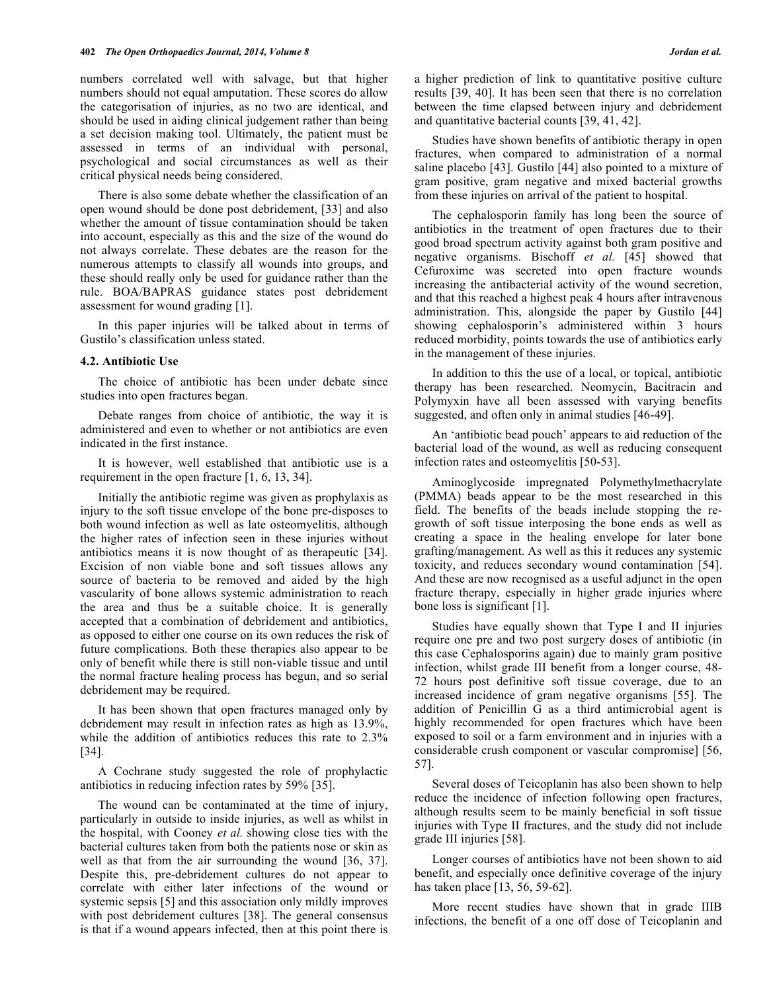numbers correlated well with salvage, but that higher numbers should not equal amputation. These scores do allow the categorisation of injuries, as no two are identical, and should be used in aiding clinical judgement rather than being a set decision making tool. Ultimately, the patient must be assessed in terms of an individual with personal, psychological and social circumstances as well as their critical physical needs being considered.

There is also some debate whether the classification of an open wound should be done post debridement, [33] and also whether the amount of tissue contamination should be taken into account, especially as this and the size of the wound do not always correlate. These debates are the reason for the numerous attempts to classify all wounds into groups, and these should really only be used for guidance rather than the rule. BOA/BAPRAS guidance states post debridement assessment for wound grading [1].

In this paper injuries will be talked about in terms of Gustilo's classification unless stated.

#### **4.2. Antibiotic Use**

The choice of antibiotic has been under debate since studies into open fractures began.

Debate ranges from choice of antibiotic, the way it is administered and even to whether or not antibiotics are even indicated in the first instance.

It is however, well established that antibiotic use is a requirement in the open fracture [1, 6, 13, 34].

Initially the antibiotic regime was given as prophylaxis as injury to the soft tissue envelope of the bone pre-disposes to both wound infection as well as late osteomyelitis, although the higher rates of infection seen in these injuries without antibiotics means it is now thought of as therapeutic [34]. Excision of non viable bone and soft tissues allows any source of bacteria to be removed and aided by the high vascularity of bone allows systemic administration to reach the area and thus be a suitable choice. It is generally accepted that a combination of debridement and antibiotics, as opposed to either one course on its own reduces the risk of future complications. Both these therapies also appear to be only of benefit while there is still non-viable tissue and until the normal fracture healing process has begun, and so serial debridement may be required.

It has been shown that open fractures managed only by debridement may result in infection rates as high as 13.9%, while the addition of antibiotics reduces this rate to 2.3% [34].

A Cochrane study suggested the role of prophylactic antibiotics in reducing infection rates by 59% [35].

The wound can be contaminated at the time of injury, particularly in outside to inside injuries, as well as whilst in the hospital, with Cooney *et al.* showing close ties with the bacterial cultures taken from both the patients nose or skin as well as that from the air surrounding the wound [36, 37]. Despite this, pre-debridement cultures do not appear to correlate with either later infections of the wound or systemic sepsis [5] and this association only mildly improves with post debridement cultures [38]. The general consensus is that if a wound appears infected, then at this point there is a higher prediction of link to quantitative positive culture results [39, 40]. It has been seen that there is no correlation between the time elapsed between injury and debridement and quantitative bacterial counts [39, 41, 42].

Studies have shown benefits of antibiotic therapy in open fractures, when compared to administration of a normal saline placebo [43]. Gustilo [44] also pointed to a mixture of gram positive, gram negative and mixed bacterial growths from these injuries on arrival of the patient to hospital.

The cephalosporin family has long been the source of antibiotics in the treatment of open fractures due to their good broad spectrum activity against both gram positive and negative organisms. Bischoff *et al.* [45] showed that Cefuroxime was secreted into open fracture wounds increasing the antibacterial activity of the wound secretion, and that this reached a highest peak 4 hours after intravenous administration. This, alongside the paper by Gustilo [44] showing cephalosporin's administered within 3 hours reduced morbidity, points towards the use of antibiotics early in the management of these injuries.

In addition to this the use of a local, or topical, antibiotic therapy has been researched. Neomycin, Bacitracin and Polymyxin have all been assessed with varying benefits suggested, and often only in animal studies [46-49].

An 'antibiotic bead pouch' appears to aid reduction of the bacterial load of the wound, as well as reducing consequent infection rates and osteomyelitis [50-53].

Aminoglycoside impregnated Polymethylmethacrylate (PMMA) beads appear to be the most researched in this field. The benefits of the beads include stopping the regrowth of soft tissue interposing the bone ends as well as creating a space in the healing envelope for later bone grafting/management. As well as this it reduces any systemic toxicity, and reduces secondary wound contamination [54]. And these are now recognised as a useful adjunct in the open fracture therapy, especially in higher grade injuries where bone loss is significant [1].

Studies have equally shown that Type I and II injuries require one pre and two post surgery doses of antibiotic (in this case Cephalosporins again) due to mainly gram positive infection, whilst grade III benefit from a longer course, 48- 72 hours post definitive soft tissue coverage, due to an increased incidence of gram negative organisms [55]. The addition of Penicillin G as a third antimicrobial agent is highly recommended for open fractures which have been exposed to soil or a farm environment and in injuries with a considerable crush component or vascular compromise] [56, 57].

Several doses of Teicoplanin has also been shown to help reduce the incidence of infection following open fractures, although results seem to be mainly beneficial in soft tissue injuries with Type II fractures, and the study did not include grade III injuries [58].

Longer courses of antibiotics have not been shown to aid benefit, and especially once definitive coverage of the injury has taken place [13, 56, 59-62].

More recent studies have shown that in grade IIIB infections, the benefit of a one off dose of Teicoplanin and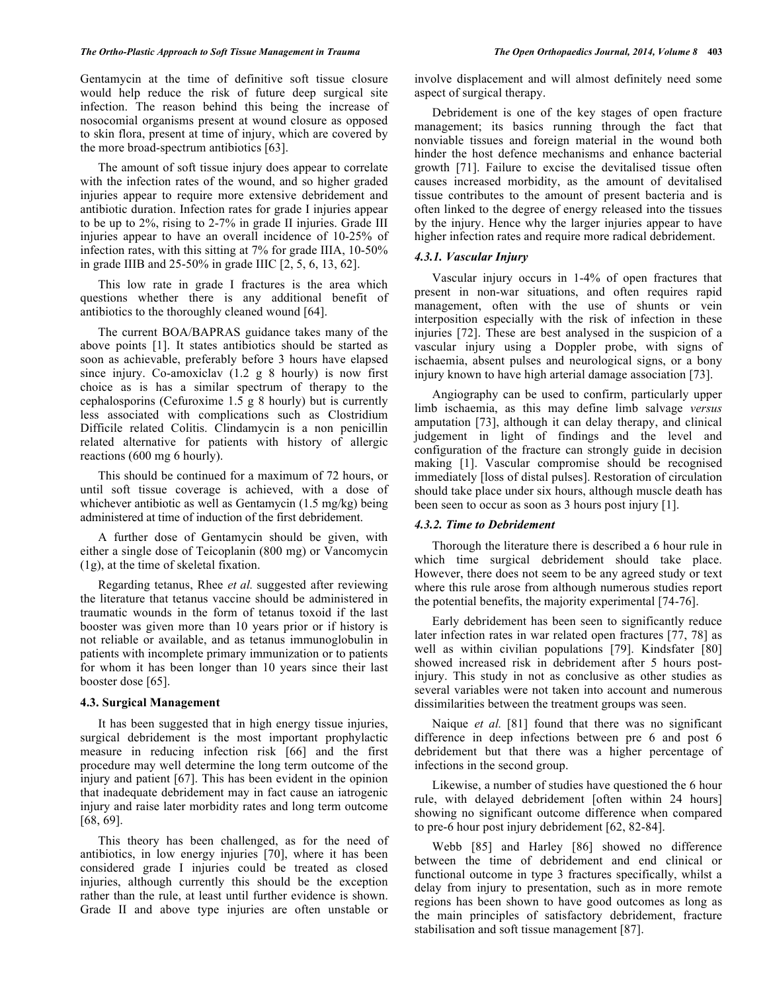Gentamycin at the time of definitive soft tissue closure would help reduce the risk of future deep surgical site infection. The reason behind this being the increase of nosocomial organisms present at wound closure as opposed to skin flora, present at time of injury, which are covered by the more broad-spectrum antibiotics [63].

The amount of soft tissue injury does appear to correlate with the infection rates of the wound, and so higher graded injuries appear to require more extensive debridement and antibiotic duration. Infection rates for grade I injuries appear to be up to 2%, rising to 2-7% in grade II injuries. Grade III injuries appear to have an overall incidence of 10-25% of infection rates, with this sitting at 7% for grade IIIA, 10-50% in grade IIIB and 25-50% in grade IIIC [2, 5, 6, 13, 62].

This low rate in grade I fractures is the area which questions whether there is any additional benefit of antibiotics to the thoroughly cleaned wound [64].

The current BOA/BAPRAS guidance takes many of the above points [1]. It states antibiotics should be started as soon as achievable, preferably before 3 hours have elapsed since injury. Co-amoxiclav (1.2 g 8 hourly) is now first choice as is has a similar spectrum of therapy to the cephalosporins (Cefuroxime 1.5 g 8 hourly) but is currently less associated with complications such as Clostridium Difficile related Colitis. Clindamycin is a non penicillin related alternative for patients with history of allergic reactions (600 mg 6 hourly).

This should be continued for a maximum of 72 hours, or until soft tissue coverage is achieved, with a dose of whichever antibiotic as well as Gentamycin (1.5 mg/kg) being administered at time of induction of the first debridement.

A further dose of Gentamycin should be given, with either a single dose of Teicoplanin (800 mg) or Vancomycin (1g), at the time of skeletal fixation.

Regarding tetanus, Rhee *et al.* suggested after reviewing the literature that tetanus vaccine should be administered in traumatic wounds in the form of tetanus toxoid if the last booster was given more than 10 years prior or if history is not reliable or available, and as tetanus immunoglobulin in patients with incomplete primary immunization or to patients for whom it has been longer than 10 years since their last booster dose [65].

#### **4.3. Surgical Management**

It has been suggested that in high energy tissue injuries, surgical debridement is the most important prophylactic measure in reducing infection risk [66] and the first procedure may well determine the long term outcome of the injury and patient [67]. This has been evident in the opinion that inadequate debridement may in fact cause an iatrogenic injury and raise later morbidity rates and long term outcome [68, 69].

This theory has been challenged, as for the need of antibiotics, in low energy injuries [70], where it has been considered grade I injuries could be treated as closed injuries, although currently this should be the exception rather than the rule, at least until further evidence is shown. Grade II and above type injuries are often unstable or

involve displacement and will almost definitely need some aspect of surgical therapy.

Debridement is one of the key stages of open fracture management; its basics running through the fact that nonviable tissues and foreign material in the wound both hinder the host defence mechanisms and enhance bacterial growth [71]. Failure to excise the devitalised tissue often causes increased morbidity, as the amount of devitalised tissue contributes to the amount of present bacteria and is often linked to the degree of energy released into the tissues by the injury. Hence why the larger injuries appear to have higher infection rates and require more radical debridement.

#### *4.3.1. Vascular Injury*

Vascular injury occurs in 1-4% of open fractures that present in non-war situations, and often requires rapid management, often with the use of shunts or vein interposition especially with the risk of infection in these injuries [72]. These are best analysed in the suspicion of a vascular injury using a Doppler probe, with signs of ischaemia, absent pulses and neurological signs, or a bony injury known to have high arterial damage association [73].

Angiography can be used to confirm, particularly upper limb ischaemia, as this may define limb salvage *versus* amputation [73], although it can delay therapy, and clinical judgement in light of findings and the level and configuration of the fracture can strongly guide in decision making [1]. Vascular compromise should be recognised immediately [loss of distal pulses]. Restoration of circulation should take place under six hours, although muscle death has been seen to occur as soon as 3 hours post injury [1].

#### *4.3.2. Time to Debridement*

Thorough the literature there is described a 6 hour rule in which time surgical debridement should take place. However, there does not seem to be any agreed study or text where this rule arose from although numerous studies report the potential benefits, the majority experimental [74-76].

Early debridement has been seen to significantly reduce later infection rates in war related open fractures [77, 78] as well as within civilian populations [79]. Kindsfater [80] showed increased risk in debridement after 5 hours postinjury. This study in not as conclusive as other studies as several variables were not taken into account and numerous dissimilarities between the treatment groups was seen.

Naique *et al.* [81] found that there was no significant difference in deep infections between pre 6 and post 6 debridement but that there was a higher percentage of infections in the second group.

Likewise, a number of studies have questioned the 6 hour rule, with delayed debridement [often within 24 hours] showing no significant outcome difference when compared to pre-6 hour post injury debridement [62, 82-84].

Webb [85] and Harley [86] showed no difference between the time of debridement and end clinical or functional outcome in type 3 fractures specifically, whilst a delay from injury to presentation, such as in more remote regions has been shown to have good outcomes as long as the main principles of satisfactory debridement, fracture stabilisation and soft tissue management [87].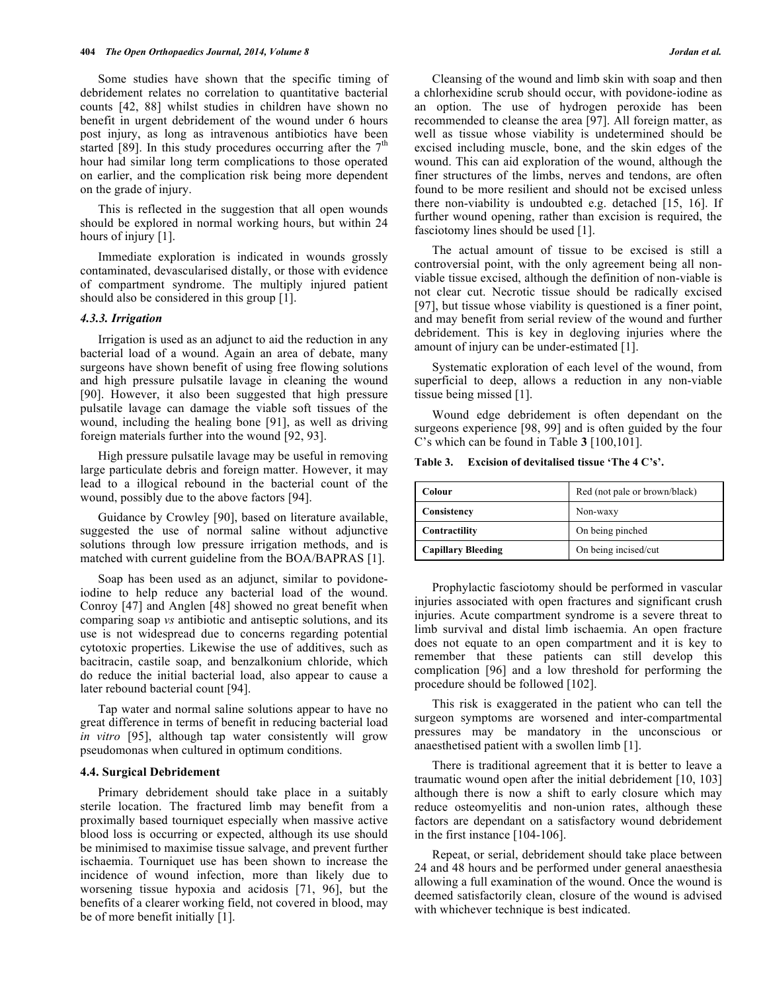Some studies have shown that the specific timing of debridement relates no correlation to quantitative bacterial counts [42, 88] whilst studies in children have shown no benefit in urgent debridement of the wound under 6 hours post injury, as long as intravenous antibiotics have been started [89]. In this study procedures occurring after the  $7<sup>th</sup>$ hour had similar long term complications to those operated on earlier, and the complication risk being more dependent on the grade of injury.

This is reflected in the suggestion that all open wounds should be explored in normal working hours, but within 24 hours of injury [1].

Immediate exploration is indicated in wounds grossly contaminated, devascularised distally, or those with evidence of compartment syndrome. The multiply injured patient should also be considered in this group [1].

#### *4.3.3. Irrigation*

Irrigation is used as an adjunct to aid the reduction in any bacterial load of a wound. Again an area of debate, many surgeons have shown benefit of using free flowing solutions and high pressure pulsatile lavage in cleaning the wound [90]. However, it also been suggested that high pressure pulsatile lavage can damage the viable soft tissues of the wound, including the healing bone [91], as well as driving foreign materials further into the wound [92, 93].

High pressure pulsatile lavage may be useful in removing large particulate debris and foreign matter. However, it may lead to a illogical rebound in the bacterial count of the wound, possibly due to the above factors [94].

Guidance by Crowley [90], based on literature available, suggested the use of normal saline without adjunctive solutions through low pressure irrigation methods, and is matched with current guideline from the BOA/BAPRAS [1].

Soap has been used as an adjunct, similar to povidoneiodine to help reduce any bacterial load of the wound. Conroy [47] and Anglen [48] showed no great benefit when comparing soap *vs* antibiotic and antiseptic solutions, and its use is not widespread due to concerns regarding potential cytotoxic properties. Likewise the use of additives, such as bacitracin, castile soap, and benzalkonium chloride, which do reduce the initial bacterial load, also appear to cause a later rebound bacterial count [94].

Tap water and normal saline solutions appear to have no great difference in terms of benefit in reducing bacterial load *in vitro* [95], although tap water consistently will grow pseudomonas when cultured in optimum conditions.

#### **4.4. Surgical Debridement**

Primary debridement should take place in a suitably sterile location. The fractured limb may benefit from a proximally based tourniquet especially when massive active blood loss is occurring or expected, although its use should be minimised to maximise tissue salvage, and prevent further ischaemia. Tourniquet use has been shown to increase the incidence of wound infection, more than likely due to worsening tissue hypoxia and acidosis [71, 96], but the benefits of a clearer working field, not covered in blood, may be of more benefit initially [1].

Cleansing of the wound and limb skin with soap and then a chlorhexidine scrub should occur, with povidone-iodine as an option. The use of hydrogen peroxide has been recommended to cleanse the area [97]. All foreign matter, as well as tissue whose viability is undetermined should be excised including muscle, bone, and the skin edges of the wound. This can aid exploration of the wound, although the finer structures of the limbs, nerves and tendons, are often found to be more resilient and should not be excised unless there non-viability is undoubted e.g. detached [15, 16]. If further wound opening, rather than excision is required, the fasciotomy lines should be used [1].

The actual amount of tissue to be excised is still a controversial point, with the only agreement being all nonviable tissue excised, although the definition of non-viable is not clear cut. Necrotic tissue should be radically excised [97], but tissue whose viability is questioned is a finer point, and may benefit from serial review of the wound and further debridement. This is key in degloving injuries where the amount of injury can be under-estimated [1].

Systematic exploration of each level of the wound, from superficial to deep, allows a reduction in any non-viable tissue being missed [1].

Wound edge debridement is often dependant on the surgeons experience [98, 99] and is often guided by the four C's which can be found in Table **3** [100,101].

**Table 3. Excision of devitalised tissue 'The 4 C's'.**

| Colour                    | Red (not pale or brown/black) |  |
|---------------------------|-------------------------------|--|
| Consistency               | Non-waxy                      |  |
| Contractility             | On being pinched              |  |
| <b>Capillary Bleeding</b> | On being incised/cut          |  |

Prophylactic fasciotomy should be performed in vascular injuries associated with open fractures and significant crush injuries. Acute compartment syndrome is a severe threat to limb survival and distal limb ischaemia. An open fracture does not equate to an open compartment and it is key to remember that these patients can still develop this complication [96] and a low threshold for performing the procedure should be followed [102].

This risk is exaggerated in the patient who can tell the surgeon symptoms are worsened and inter-compartmental pressures may be mandatory in the unconscious or anaesthetised patient with a swollen limb [1].

There is traditional agreement that it is better to leave a traumatic wound open after the initial debridement [10, 103] although there is now a shift to early closure which may reduce osteomyelitis and non-union rates, although these factors are dependant on a satisfactory wound debridement in the first instance [104-106].

Repeat, or serial, debridement should take place between 24 and 48 hours and be performed under general anaesthesia allowing a full examination of the wound. Once the wound is deemed satisfactorily clean, closure of the wound is advised with whichever technique is best indicated.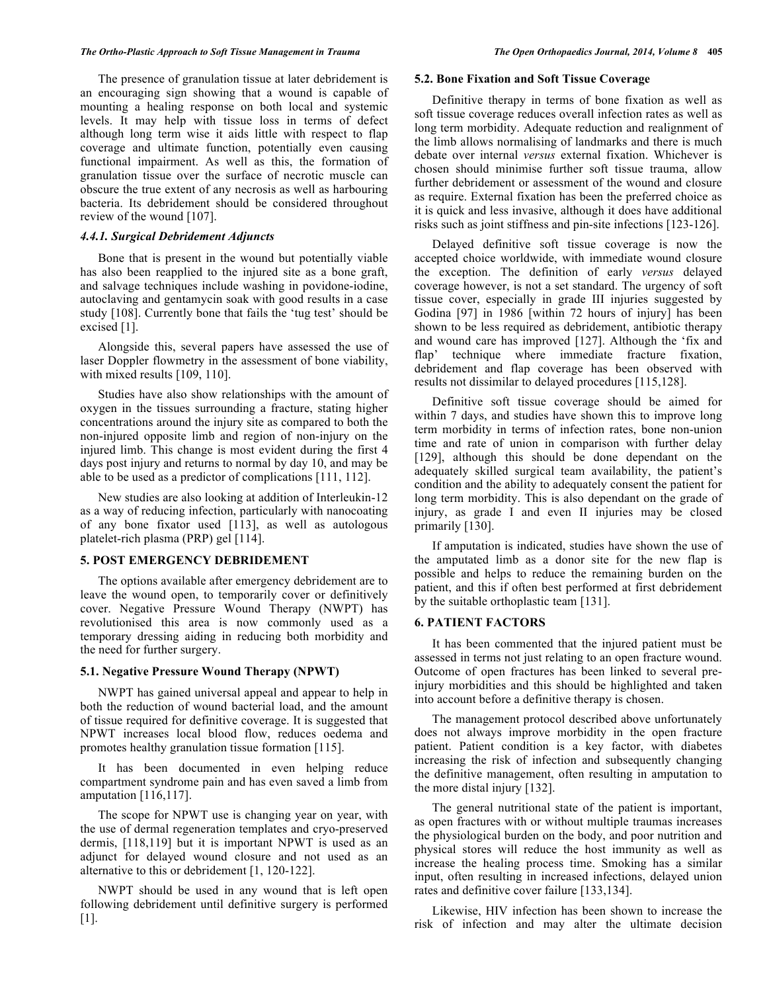The presence of granulation tissue at later debridement is an encouraging sign showing that a wound is capable of mounting a healing response on both local and systemic levels. It may help with tissue loss in terms of defect although long term wise it aids little with respect to flap coverage and ultimate function, potentially even causing functional impairment. As well as this, the formation of granulation tissue over the surface of necrotic muscle can obscure the true extent of any necrosis as well as harbouring bacteria. Its debridement should be considered throughout review of the wound [107].

#### *4.4.1. Surgical Debridement Adjuncts*

Bone that is present in the wound but potentially viable has also been reapplied to the injured site as a bone graft, and salvage techniques include washing in povidone-iodine, autoclaving and gentamycin soak with good results in a case study [108]. Currently bone that fails the 'tug test' should be excised [1].

Alongside this, several papers have assessed the use of laser Doppler flowmetry in the assessment of bone viability, with mixed results [109, 110].

Studies have also show relationships with the amount of oxygen in the tissues surrounding a fracture, stating higher concentrations around the injury site as compared to both the non-injured opposite limb and region of non-injury on the injured limb. This change is most evident during the first 4 days post injury and returns to normal by day 10, and may be able to be used as a predictor of complications [111, 112].

New studies are also looking at addition of Interleukin-12 as a way of reducing infection, particularly with nanocoating of any bone fixator used [113], as well as autologous platelet-rich plasma (PRP) gel [114].

## **5. POST EMERGENCY DEBRIDEMENT**

The options available after emergency debridement are to leave the wound open, to temporarily cover or definitively cover. Negative Pressure Wound Therapy (NWPT) has revolutionised this area is now commonly used as a temporary dressing aiding in reducing both morbidity and the need for further surgery.

#### **5.1. Negative Pressure Wound Therapy (NPWT)**

NWPT has gained universal appeal and appear to help in both the reduction of wound bacterial load, and the amount of tissue required for definitive coverage. It is suggested that NPWT increases local blood flow, reduces oedema and promotes healthy granulation tissue formation [115].

It has been documented in even helping reduce compartment syndrome pain and has even saved a limb from amputation [116,117].

The scope for NPWT use is changing year on year, with the use of dermal regeneration templates and cryo-preserved dermis, [118,119] but it is important NPWT is used as an adjunct for delayed wound closure and not used as an alternative to this or debridement [1, 120-122].

NWPT should be used in any wound that is left open following debridement until definitive surgery is performed [1].

### **5.2. Bone Fixation and Soft Tissue Coverage**

Definitive therapy in terms of bone fixation as well as soft tissue coverage reduces overall infection rates as well as long term morbidity. Adequate reduction and realignment of the limb allows normalising of landmarks and there is much debate over internal *versus* external fixation. Whichever is chosen should minimise further soft tissue trauma, allow further debridement or assessment of the wound and closure as require. External fixation has been the preferred choice as it is quick and less invasive, although it does have additional risks such as joint stiffness and pin-site infections [123-126].

Delayed definitive soft tissue coverage is now the accepted choice worldwide, with immediate wound closure the exception. The definition of early *versus* delayed coverage however, is not a set standard. The urgency of soft tissue cover, especially in grade III injuries suggested by Godina [97] in 1986 [within 72 hours of injury] has been shown to be less required as debridement, antibiotic therapy and wound care has improved [127]. Although the 'fix and flap' technique where immediate fracture fixation, debridement and flap coverage has been observed with results not dissimilar to delayed procedures [115,128].

Definitive soft tissue coverage should be aimed for within 7 days, and studies have shown this to improve long term morbidity in terms of infection rates, bone non-union time and rate of union in comparison with further delay [129], although this should be done dependant on the adequately skilled surgical team availability, the patient's condition and the ability to adequately consent the patient for long term morbidity. This is also dependant on the grade of injury, as grade I and even II injuries may be closed primarily [130].

If amputation is indicated, studies have shown the use of the amputated limb as a donor site for the new flap is possible and helps to reduce the remaining burden on the patient, and this if often best performed at first debridement by the suitable orthoplastic team [131].

# **6. PATIENT FACTORS**

It has been commented that the injured patient must be assessed in terms not just relating to an open fracture wound. Outcome of open fractures has been linked to several preinjury morbidities and this should be highlighted and taken into account before a definitive therapy is chosen.

The management protocol described above unfortunately does not always improve morbidity in the open fracture patient. Patient condition is a key factor, with diabetes increasing the risk of infection and subsequently changing the definitive management, often resulting in amputation to the more distal injury [132].

The general nutritional state of the patient is important, as open fractures with or without multiple traumas increases the physiological burden on the body, and poor nutrition and physical stores will reduce the host immunity as well as increase the healing process time. Smoking has a similar input, often resulting in increased infections, delayed union rates and definitive cover failure [133,134].

Likewise, HIV infection has been shown to increase the risk of infection and may alter the ultimate decision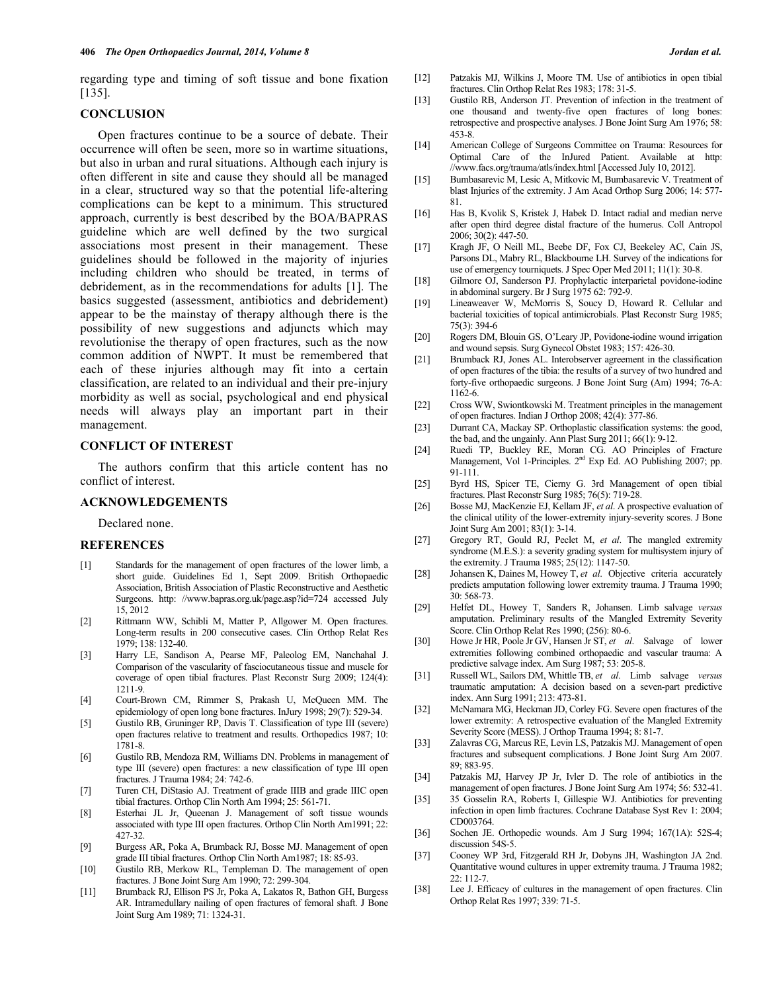regarding type and timing of soft tissue and bone fixation [135].

#### **CONCLUSION**

Open fractures continue to be a source of debate. Their occurrence will often be seen, more so in wartime situations, but also in urban and rural situations. Although each injury is often different in site and cause they should all be managed in a clear, structured way so that the potential life-altering complications can be kept to a minimum. This structured approach, currently is best described by the BOA/BAPRAS guideline which are well defined by the two surgical associations most present in their management. These guidelines should be followed in the majority of injuries including children who should be treated, in terms of debridement, as in the recommendations for adults [1]. The basics suggested (assessment, antibiotics and debridement) appear to be the mainstay of therapy although there is the possibility of new suggestions and adjuncts which may revolutionise the therapy of open fractures, such as the now common addition of NWPT. It must be remembered that each of these injuries although may fit into a certain classification, are related to an individual and their pre-injury morbidity as well as social, psychological and end physical needs will always play an important part in their management.

# **CONFLICT OF INTEREST**

The authors confirm that this article content has no conflict of interest.

#### **ACKNOWLEDGEMENTS**

Declared none.

#### **REFERENCES**

- [1] Standards for the management of open fractures of the lower limb, a short guide. Guidelines Ed 1, Sept 2009. British Orthopaedic Association, British Association of Plastic Reconstructive and Aesthetic Surgeons. http: //www.bapras.org.uk/page.asp?id=724 accessed July 15, 2012
- [2] Rittmann WW, Schibli M, Matter P, Allgower M. Open fractures. Long-term results in 200 consecutive cases. Clin Orthop Relat Res 1979; 138: 132-40.
- [3] Harry LE, Sandison A, Pearse MF, Paleolog EM, Nanchahal J. Comparison of the vascularity of fasciocutaneous tissue and muscle for coverage of open tibial fractures. Plast Reconstr Surg 2009; 124(4): 1211-9.
- [4] Court-Brown CM, Rimmer S, Prakash U, McQueen MM. The epidemiology of open long bone fractures. InJury 1998; 29(7): 529-34.
- [5] Gustilo RB, Gruninger RP, Davis T. Classification of type III (severe) open fractures relative to treatment and results. Orthopedics 1987; 10: 1781-8.
- [6] Gustilo RB, Mendoza RM, Williams DN. Problems in management of type III (severe) open fractures: a new classification of type III open fractures. J Trauma 1984; 24: 742-6.
- [7] Turen CH, DiStasio AJ. Treatment of grade IIIB and grade IIIC open tibial fractures. Orthop Clin North Am 1994; 25: 561-71.
- [8] Esterhai JL Jr, Queenan J. Management of soft tissue wounds associated with type III open fractures. Orthop Clin North Am1991; 22: 427-32.
- [9] Burgess AR, Poka A, Brumback RJ, Bosse MJ. Management of open grade III tibial fractures. Orthop Clin North Am1987; 18: 85-93.
- [10] Gustilo RB, Merkow RL, Templeman D. The management of open fractures. J Bone Joint Surg Am 1990; 72: 299-304.
- [11] Brumback RJ, Ellison PS Jr, Poka A, Lakatos R, Bathon GH, Burgess AR. Intramedullary nailing of open fractures of femoral shaft. J Bone Joint Surg Am 1989; 71: 1324-31.
- fractures. Clin Orthop Relat Res 1983; 178: 31-5.
- [13] Gustilo RB, Anderson JT. Prevention of infection in the treatment of one thousand and twenty-five open fractures of long bones: retrospective and prospective analyses. J Bone Joint Surg Am 1976; 58: 453-8.
- [14] American College of Surgeons Committee on Trauma: Resources for Optimal Care of the InJured Patient. Available at http: //www.facs.org/trauma/atls/index.html [Accessed July 10, 2012].
- [15] Bumbasarevic M, Lesic A, Mitkovic M, Bumbasarevic V. Treatment of blast Injuries of the extremity. J Am Acad Orthop Surg 2006; 14: 577- 81.
- [16] Has B, Kvolik S, Kristek J, Habek D. Intact radial and median nerve after open third degree distal fracture of the humerus. Coll Antropol 2006; 30(2): 447-50.
- [17] Kragh JF, O Neill ML, Beebe DF, Fox CJ, Beekeley AC, Cain JS, Parsons DL, Mabry RL, Blackbourne LH. Survey of the indications for use of emergency tourniquets. J Spec Oper Med 2011; 11(1): 30-8.
- [18] Gilmore OJ, Sanderson PJ. Prophylactic interparietal povidone-iodine in abdominal surgery. Br J Surg 1975 62: 792-9.
- [19] Lineaweaver W, McMorris S, Soucy D, Howard R. Cellular and bacterial toxicities of topical antimicrobials. Plast Reconstr Surg 1985; 75(3): 394-6
- [20] Rogers DM, Blouin GS, O'Leary JP, Povidone-iodine wound irrigation and wound sepsis. Surg Gynecol Obstet 1983; 157: 426-30.
- [21] Brumback RJ, Jones AL. Interobserver agreement in the classification of open fractures of the tibia: the results of a survey of two hundred and forty-five orthopaedic surgeons. J Bone Joint Surg (Am) 1994; 76-A: 1162-6.
- [22] Cross WW, Swiontkowski M. Treatment principles in the management of open fractures. Indian J Orthop 2008; 42(4): 377-86.
- [23] Durrant CA, Mackay SP. Orthoplastic classification systems: the good, the bad, and the ungainly. Ann Plast Surg 2011; 66(1): 9-12.
- [24] Ruedi TP, Buckley RE, Moran CG. AO Principles of Fracture Management, Vol 1-Principles. 2<sup>nd</sup> Exp Ed. AO Publishing 2007; pp. 91-111.
- [25] Byrd HS, Spicer TE, Cierny G. 3rd Management of open tibial fractures. Plast Reconstr Surg 1985; 76(5): 719-28.
- [26] Bosse MJ, MacKenzie EJ, Kellam JF, *et al*. A prospective evaluation of the clinical utility of the lower-extremity injury-severity scores. J Bone Joint Surg Am 2001; 83(1): 3-14.
- [27] Gregory RT, Gould RJ, Peclet M, *et al*. The mangled extremity syndrome (M.E.S.): a severity grading system for multisystem injury of the extremity. J Trauma 1985; 25(12): 1147-50.
- [28] Johansen K, Daines M, Howey T, *et al*. Objective criteria accurately predicts amputation following lower extremity trauma. J Trauma 1990; 30: 568-73.
- [29] Helfet DL, Howey T, Sanders R, Johansen. Limb salvage *versus* amputation. Preliminary results of the Mangled Extremity Severity Score. Clin Orthop Relat Res 1990; (256): 80-6.
- [30] Howe Jr HR, Poole Jr GV, Hansen Jr ST, *et al*. Salvage of lower extremities following combined orthopaedic and vascular trauma: A predictive salvage index. Am Surg 1987; 53: 205-8.
- [31] Russell WL, Sailors DM, Whittle TB, *et al*. Limb salvage *versus* traumatic amputation: A decision based on a seven-part predictive index. Ann Surg 1991; 213: 473-81.
- [32] McNamara MG, Heckman JD, Corley FG. Severe open fractures of the lower extremity: A retrospective evaluation of the Mangled Extremity Severity Score (MESS). J Orthop Trauma 1994; 8: 81-7.
- [33] Zalavras CG, Marcus RE, Levin LS, Patzakis MJ. Management of open fractures and subsequent complications. J Bone Joint Surg Am 2007. 89; 883-95.
- [34] Patzakis MJ, Harvey JP Jr, Ivler D. The role of antibiotics in the management of open fractures. J Bone Joint Surg Am 1974; 56: 532-41.
- [35] 35 Gosselin RA, Roberts I, Gillespie WJ. Antibiotics for preventing infection in open limb fractures. Cochrane Database Syst Rev 1: 2004; CD003764.
- [36] Sochen JE. Orthopedic wounds. Am J Surg 1994; 167(1A): 52S-4; discussion 54S-5.
- [37] Cooney WP 3rd, Fitzgerald RH Jr, Dobyns JH, Washington JA 2nd. Quantitative wound cultures in upper extremity trauma. J Trauma 1982; 22: 112-7.
- [38] Lee J. Efficacy of cultures in the management of open fractures. Clin Orthop Relat Res 1997; 339: 71-5.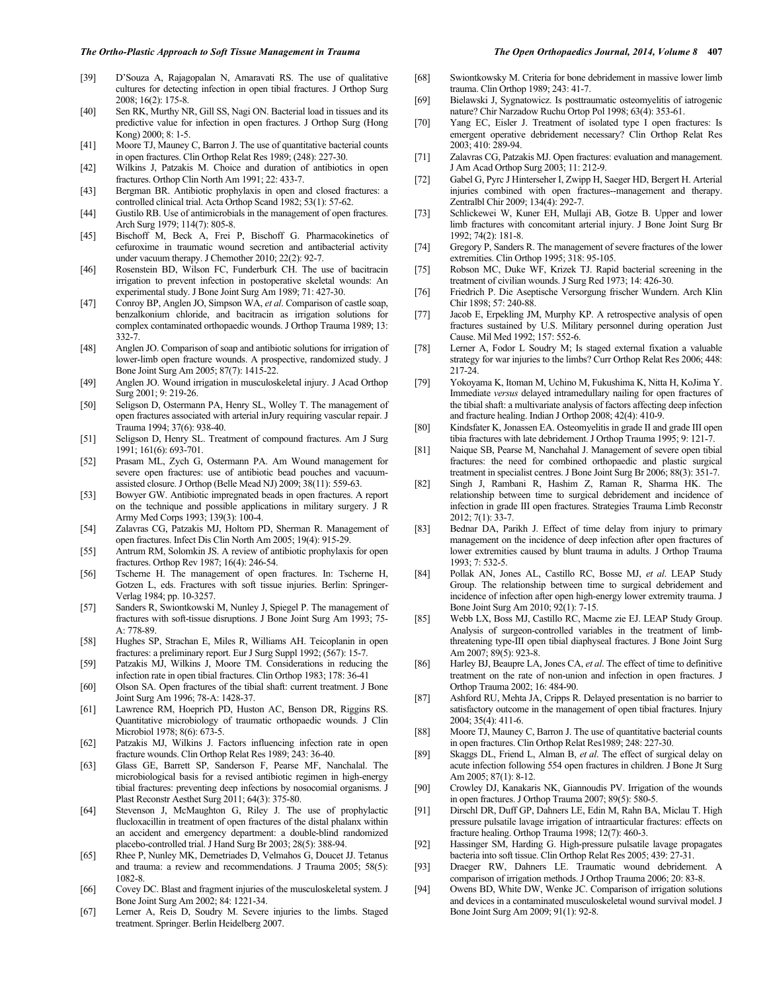- [39] D'Souza A, Rajagopalan N, Amaravati RS. The use of qualitative cultures for detecting infection in open tibial fractures. J Orthop Surg 2008; 16(2): 175-8.
- [40] Sen RK, Murthy NR, Gill SS, Nagi ON. Bacterial load in tissues and its predictive value for infection in open fractures. J Orthop Surg (Hong Kong) 2000; 8: 1-5.
- [41] Moore TJ, Mauney C, Barron J. The use of quantitative bacterial counts in open fractures. Clin Orthop Relat Res 1989; (248): 227-30.
- [42] Wilkins J, Patzakis M. Choice and duration of antibiotics in open fractures. Orthop Clin North Am 1991; 22: 433-7.
- [43] Bergman BR. Antibiotic prophylaxis in open and closed fractures: a controlled clinical trial. Acta Orthop Scand 1982; 53(1): 57-62.
- [44] Gustilo RB. Use of antimicrobials in the management of open fractures. Arch Surg 1979; 114(7): 805-8.
- [45] Bischoff M, Beck A, Frei P, Bischoff G. Pharmacokinetics of cefuroxime in traumatic wound secretion and antibacterial activity under vacuum therapy. J Chemother 2010; 22(2): 92-7.
- [46] Rosenstein BD, Wilson FC, Funderburk CH. The use of bacitracin irrigation to prevent infection in postoperative skeletal wounds: An experimental study. J Bone Joint Surg Am 1989; 71: 427-30.
- [47] Conroy BP, Anglen JO, Simpson WA, *et al*. Comparison of castle soap, benzalkonium chloride, and bacitracin as irrigation solutions for complex contaminated orthopaedic wounds. J Orthop Trauma 1989; 13: 332-7.
- [48] Anglen JO. Comparison of soap and antibiotic solutions for irrigation of lower-limb open fracture wounds. A prospective, randomized study. J Bone Joint Surg Am 2005; 87(7): 1415-22.
- [49] Anglen JO. Wound irrigation in musculoskeletal injury. J Acad Orthop Surg 2001; 9: 219-26.
- [50] Seligson D, Ostermann PA, Henry SL, Wolley T. The management of open fractures associated with arterial inJury requiring vascular repair. J Trauma 1994; 37(6): 938-40.
- [51] Seligson D, Henry SL. Treatment of compound fractures. Am J Surg 1991; 161(6): 693-701.
- [52] Prasam ML, Zych G, Ostermann PA. Am Wound management for severe open fractures: use of antibiotic bead pouches and vacuumassisted closure. J Orthop (Belle Mead NJ) 2009; 38(11): 559-63.
- [53] Bowyer GW. Antibiotic impregnated beads in open fractures. A report on the technique and possible applications in military surgery. J R Army Med Corps 1993; 139(3): 100-4.
- [54] Zalavras CG, Patzakis MJ, Holtom PD, Sherman R. Management of open fractures. Infect Dis Clin North Am 2005; 19(4): 915-29.
- [55] Antrum RM, Solomkin JS. A review of antibiotic prophylaxis for open fractures. Orthop Rev 1987; 16(4): 246-54.
- [56] Tscherne H. The management of open fractures. In: Tscherne H, Gotzen L, eds. Fractures with soft tissue injuries. Berlin: Springer-Verlag 1984; pp. 10-3257.
- [57] Sanders R, Swiontkowski M, Nunley J, Spiegel P. The management of fractures with soft-tissue disruptions. J Bone Joint Surg Am 1993; 75- A: 778-89.
- [58] Hughes SP, Strachan E, Miles R, Williams AH. Teicoplanin in open fractures: a preliminary report. Eur J Surg Suppl 1992; (567): 15-7.
- [59] Patzakis MJ, Wilkins J, Moore TM. Considerations in reducing the infection rate in open tibial fractures. Clin Orthop 1983; 178: 36-41
- [60] Olson SA. Open fractures of the tibial shaft: current treatment. J Bone Joint Surg Am 1996; 78-A: 1428-37.
- [61] Lawrence RM, Hoeprich PD, Huston AC, Benson DR, Riggins RS. Quantitative microbiology of traumatic orthopaedic wounds. J Clin Microbiol 1978; 8(6): 673-5.
- [62] Patzakis MJ, Wilkins J. Factors influencing infection rate in open fracture wounds. Clin Orthop Relat Res 1989; 243: 36-40.
- [63] Glass GE, Barrett SP, Sanderson F, Pearse MF, Nanchalal. The microbiological basis for a revised antibiotic regimen in high-energy tibial fractures: preventing deep infections by nosocomial organisms. J Plast Reconstr Aesthet Surg 2011; 64(3): 375-80.
- [64] Stevenson J, McMaughton G, Riley J. The use of prophylactic flucloxacillin in treatment of open fractures of the distal phalanx within an accident and emergency department: a double-blind randomized placebo-controlled trial. J Hand Surg Br 2003; 28(5): 388-94.
- [65] Rhee P, Nunley MK, Demetriades D, Velmahos G, Doucet JJ. Tetanus and trauma: a review and recommendations. J Trauma 2005; 58(5): 1082-8.
- [66] Covey DC. Blast and fragment injuries of the musculoskeletal system. J Bone Joint Surg Am 2002; 84: 1221-34.
- [67] Lerner A, Reis D, Soudry M. Severe injuries to the limbs. Staged treatment. Springer. Berlin Heidelberg 2007.
- [68] Swiontkowsky M. Criteria for bone debridement in massive lower limb trauma. Clin Orthop 1989; 243: 41-7.
- [69] Bielawski J, Sygnatowicz. Is posttraumatic osteomyelitis of iatrogenic nature? Chir Narzadow Ruchu Ortop Pol 1998; 63(4): 353-61.
- [70] Yang EC, Eisler J. Treatment of isolated type I open fractures: Is emergent operative debridement necessary? Clin Orthop Relat Res 2003; 410: 289-94.
- [71] Zalavras CG, Patzakis MJ. Open fractures: evaluation and management. J Am Acad Orthop Surg 2003; 11: 212-9.
- [72] Gabel G, Pyrc J Hinterseher I, Zwipp H, Saeger HD, Bergert H. Arterial injuries combined with open fractures--management and therapy. Zentralbl Chir 2009; 134(4): 292-7.
- [73] Schlickewei W, Kuner EH, Mullaji AB, Gotze B. Upper and lower limb fractures with concomitant arterial injury. J Bone Joint Surg Br 1992; 74(2): 181-8.
- [74] Gregory P, Sanders R. The management of severe fractures of the lower extremities. Clin Orthop 1995; 318: 95-105.
- [75] Robson MC, Duke WF, Krizek TJ. Rapid bacterial screening in the treatment of civilian wounds. J Surg Red 1973; 14: 426-30.
- [76] Friedrich P. Die Aseptische Versorgung frischer Wundern. Arch Klin Chir 1898; 57: 240-88.
- [77] Jacob E, Erpekling JM, Murphy KP. A retrospective analysis of open fractures sustained by U.S. Military personnel during operation Just Cause. Mil Med 1992; 157: 552-6.
- [78] Lerner A, Fodor L Soudry M; Is staged external fixation a valuable strategy for war injuries to the limbs? Curr Orthop Relat Res 2006; 448: 217-24.
- [79] Yokoyama K, Itoman M, Uchino M, Fukushima K, Nitta H, KoJima Y. Immediate *versus* delayed intramedullary nailing for open fractures of the tibial shaft: a multivariate analysis of factors affecting deep infection and fracture healing. Indian J Orthop 2008; 42(4): 410-9.
- [80] Kindsfater K, Jonassen EA. Osteomyelitis in grade II and grade III open tibia fractures with late debridement. J Orthop Trauma 1995; 9: 121-7.
- [81] Naique SB, Pearse M, Nanchahal J. Management of severe open tibial fractures: the need for combined orthopaedic and plastic surgical treatment in specialist centres. J Bone Joint Surg Br 2006; 88(3): 351-7.
- [82] Singh J, Rambani R, Hashim Z, Raman R, Sharma HK. The relationship between time to surgical debridement and incidence of infection in grade III open fractures. Strategies Trauma Limb Reconstr 2012; 7(1): 33-7.
- [83] Bednar DA, Parikh J. Effect of time delay from injury to primary management on the incidence of deep infection after open fractures of lower extremities caused by blunt trauma in adults. J Orthop Trauma 1993; 7: 532-5.
- [84] Pollak AN, Jones AL, Castillo RC, Bosse MJ, *et al*. LEAP Study Group. The relationship between time to surgical debridement and incidence of infection after open high-energy lower extremity trauma. J Bone Joint Surg Am 2010; 92(1): 7-15.
- [85] Webb LX, Boss MJ, Castillo RC, Macme zie EJ. LEAP Study Group. Analysis of surgeon-controlled variables in the treatment of limbthreatening type-III open tibial diaphyseal fractures. J Bone Joint Surg Am 2007; 89(5): 923-8.
- [86] Harley BJ, Beaupre LA, Jones CA, *et al*. The effect of time to definitive treatment on the rate of non-union and infection in open fractures. J Orthop Trauma 2002; 16: 484-90.
- [87] Ashford RU, Mehta JA, Cripps R. Delayed presentation is no barrier to satisfactory outcome in the management of open tibial fractures. Injury 2004; 35(4): 411-6.
- [88] Moore TJ, Mauney C, Barron J. The use of quantitative bacterial counts in open fractures. Clin Orthop Relat Res1989; 248: 227-30.
- [89] Skaggs DL, Friend L, Alman B, *et al*. The effect of surgical delay on acute infection following 554 open fractures in children. J Bone Jt Surg Am 2005; 87(1): 8-12.
- [90] Crowley DJ, Kanakaris NK, Giannoudis PV. Irrigation of the wounds in open fractures. J Orthop Trauma 2007; 89(5): 580-5.
- [91] Dirschl DR, Duff GP, Dahners LE, Edin M, Rahn BA, Miclau T. High pressure pulsatile lavage irrigation of intraarticular fractures: effects on fracture healing. Orthop Trauma 1998; 12(7): 460-3.
- [92] Hassinger SM, Harding G. High-pressure pulsatile lavage propagates bacteria into soft tissue. Clin Orthop Relat Res 2005; 439: 27-31.
- [93] Draeger RW, Dahners LE. Traumatic wound debridement. A comparison of irrigation methods. J Orthop Trauma 2006; 20: 83-8.
- [94] Owens BD, White DW, Wenke JC. Comparison of irrigation solutions and devices in a contaminated musculoskeletal wound survival model. J Bone Joint Surg Am 2009; 91(1): 92-8.